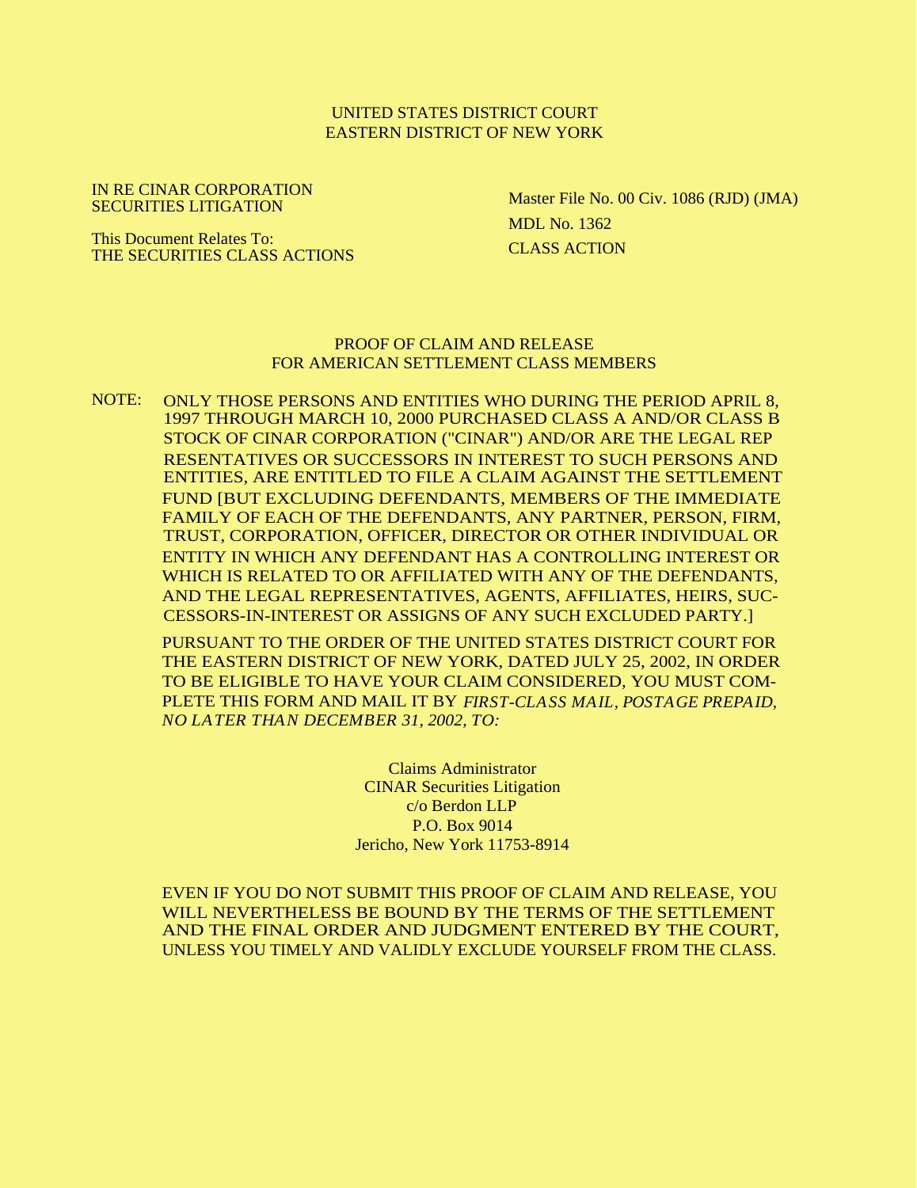### UNITED STATES DISTRICT COURT EASTERN DISTRICT OF NEW YORK

IN RE CINAR CORPORATION SECURITIES LITIGATION

Master File No. 00 Civ. 1086 (RJD) (JMA) MDL No. 1362 CLASS ACTION

This Document Relates To: THE SECURITIES CLASS ACTIONS

### PROOF OF CLAIM AND RELEASE FOR AMERICAN SETTLEMENT CLASS MEMBERS

NOTE: ONLY THOSE PERSONS AND ENTITIES WHO DURING THE PERIOD APRIL 8, 1997 THROUGH MARCH 10, 2000 PURCHASED CLASS A AND/OR CLASS B STOCK OF CINAR CORPORATION ("CINAR") AND/OR ARE THE LEGAL REP RESENTATIVES OR SUCCESSORS IN INTEREST TO SUCH PERSONS AND ENTITIES, ARE ENTITLED TO FILE A CLAIM AGAINST THE SETTLEMENT FUND [BUT EXCLUDING DEFENDANTS, MEMBERS OF THE IMMEDIATE FAMILY OF EACH OF THE DEFENDANTS, ANY PARTNER, PERSON, FIRM, TRUST, CORPORATION, OFFICER, DIRECTOR OR OTHER INDIVIDUAL OR ENTITY IN WHICH ANY DEFENDANT HAS A CONTROLLING INTEREST OR WHICH IS RELATED TO OR AFFILIATED WITH ANY OF THE DEFENDANTS, AND THE LEGAL REPRESENTATIVES, AGENTS, AFFILIATES, HEIRS, SUC-CESSORS-IN-INTEREST OR ASSIGNS OF ANY SUCH EXCLUDED PARTY.]

PURSUANT TO THE ORDER OF THE UNITED STATES DISTRICT COURT FOR THE EASTERN DISTRICT OF NEW YORK, DATED JULY 25, 2002, IN ORDER TO BE ELIGIBLE TO HAVE YOUR CLAIM CONSIDERED, YOU MUST COM-PLETE THIS FORM AND MAIL IT BY *FIRST-CLASS MAIL, POSTAGE PREPAID, NO LATER THAN DECEMBER 31, 2002, TO:*

> Claims Administrator CINAR Securities Litigation c/o Berdon LLP P.O. Box 9014 Jericho, New York 11753-8914

EVEN IF YOU DO NOT SUBMIT THIS PROOF OF CLAIM AND RELEASE, YOU WILL NEVERTHELESS BE BOUND BY THE TERMS OF THE SETTLEMENT AND THE FINAL ORDER AND JUDGMENT ENTERED BY THE COURT, UNLESS YOU TIMELY AND VALIDLY EXCLUDE YOURSELF FROM THE CLASS.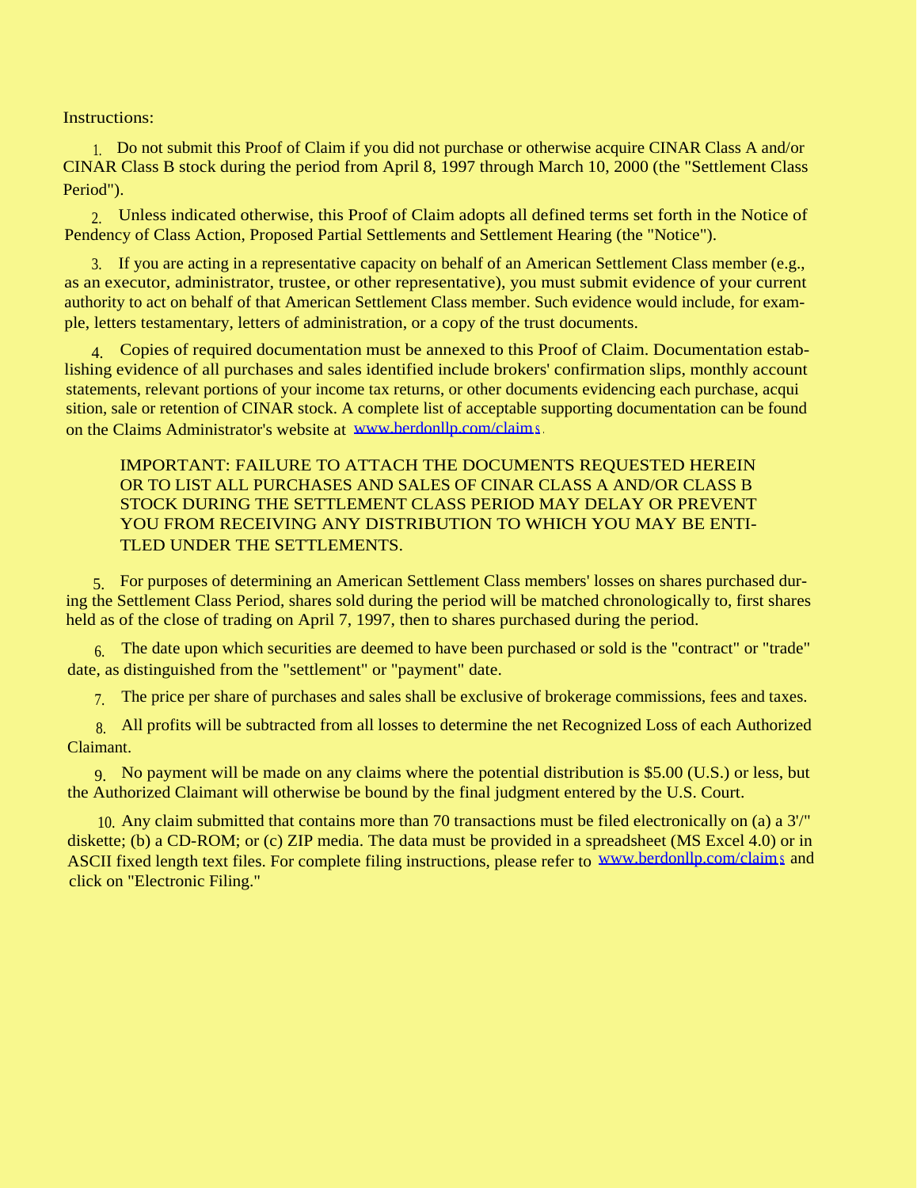Instructions:

1. Do not submit this Proof of Claim if you did not purchase or otherwise acquire CINAR Class A and/or CINAR Class B stock during the period from April 8, 1997 through March 10, 2000 (the "Settlement Class Period").

2. Unless indicated otherwise, this Proof of Claim adopts all defined terms set forth in the Notice of Pendency of Class Action, Proposed Partial Settlements and Settlement Hearing (the "Notice").

3. If you are acting in a representative capacity on behalf of an American Settlement Class member (e.g., as an executor, administrator, trustee, or other representative), you must submit evidence of your current authority to act on behalf of that American Settlement Class member. Such evidence would include, for example, letters testamentary, letters of administration, or a copy of the trust documents.

4. Copies of required documentation must be annexed to this Proof of Claim. Documentation establishing evidence of all purchases and sales identified include brokers' confirmation slips, monthly account statements, relevant portions of your income tax returns, or other documents evidencing each purchase, acqui sition, sale or retention of CINAR stock. A complete list of acceptable supporting documentation can be found on the Claims Administrator's website at [www.berdonllp.com/claims](http://www.berdonllp.com/claims) .

IMPORTANT: FAILURE TO ATTACH THE DOCUMENTS REQUESTED HEREIN OR TO LIST ALL PURCHASES AND SALES OF CINAR CLASS A AND/OR CLASS B STOCK DURING THE SETTLEMENT CLASS PERIOD MAY DELAY OR PREVENT YOU FROM RECEIVING ANY DISTRIBUTION TO WHICH YOU MAY BE ENTI-TLED UNDER THE SETTLEMENTS.

5. For purposes of determining an American Settlement Class members' losses on shares purchased during the Settlement Class Period, shares sold during the period will be matched chronologically to, first shares held as of the close of trading on April 7, 1997, then to shares purchased during the period.

6. The date upon which securities are deemed to have been purchased or sold is the "contract" or "trade" date, as distinguished from the "settlement" or "payment" date.

7. The price per share of purchases and sales shall be exclusive of brokerage commissions, fees and taxes.

8. All profits will be subtracted from all losses to determine the net Recognized Loss of each Authorized Claimant.

9. No payment will be made on any claims where the potential distribution is \$5.00 (U.S.) or less, but the Authorized Claimant will otherwise be bound by the final judgment entered by the U.S. Court.

10. Any claim submitted that contains more than 70 transactions must be filed electronically on (a) a 3'/" diskette; (b) a CD-ROM; or (c) ZIP media. The data must be provided in a spreadsheet (MS Excel 4.0) or in ASCII fixed length text files. For complete filing instructions, please refer to [www.berdonllp.com/claims](http://www.berdonllp.com/claims) and click on "Electronic Filing."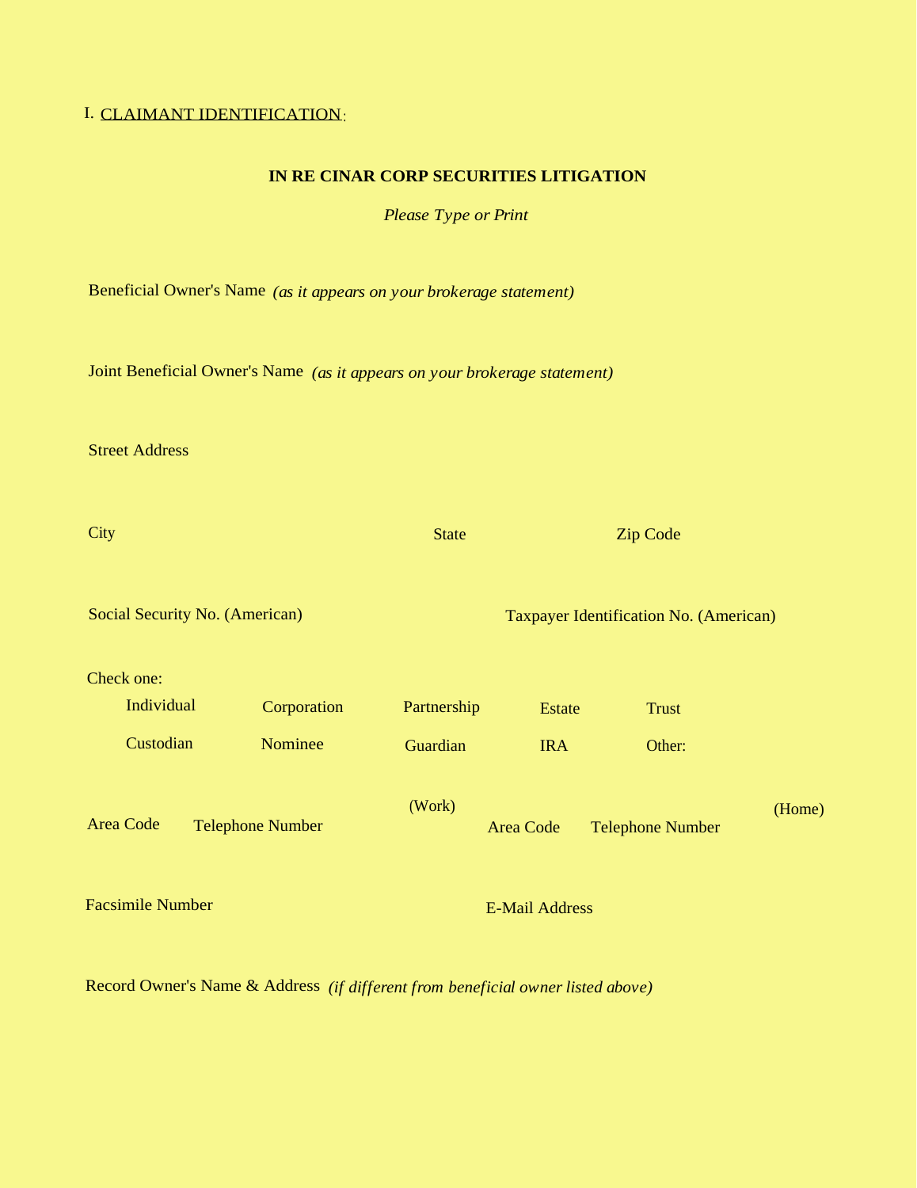# I. CLAIMANT IDENTIFICATION:

## **IN RE CINAR CORP SECURITIES LITIGATION**

*Please Type or Print*

Beneficial Owner's Name *(as it appears on your brokerage statement)*

Joint Beneficial Owner's Name *(as it appears on your brokerage statement)*

Street Address

| City                                        |  | <b>State</b> | <b>Zip Code</b><br>Taxpayer Identification No. (American) |                         |              |  |
|---------------------------------------------|--|--------------|-----------------------------------------------------------|-------------------------|--------------|--|
| Social Security No. (American)              |  |              |                                                           |                         |              |  |
| Check one:                                  |  |              |                                                           |                         |              |  |
| Individual                                  |  | Corporation  | Partnership                                               | <b>Estate</b>           | <b>Trust</b> |  |
| Custodian                                   |  | Nominee      | Guardian                                                  | <b>IRA</b>              | Other:       |  |
| <b>Area Code</b><br><b>Telephone Number</b> |  | (Work)       | <b>Area Code</b>                                          | <b>Telephone Number</b> | (Home)       |  |
| <b>Facsimile Number</b>                     |  |              |                                                           | <b>E-Mail Address</b>   |              |  |

Record Owner's Name & Address *(if different from beneficial owner listed above)*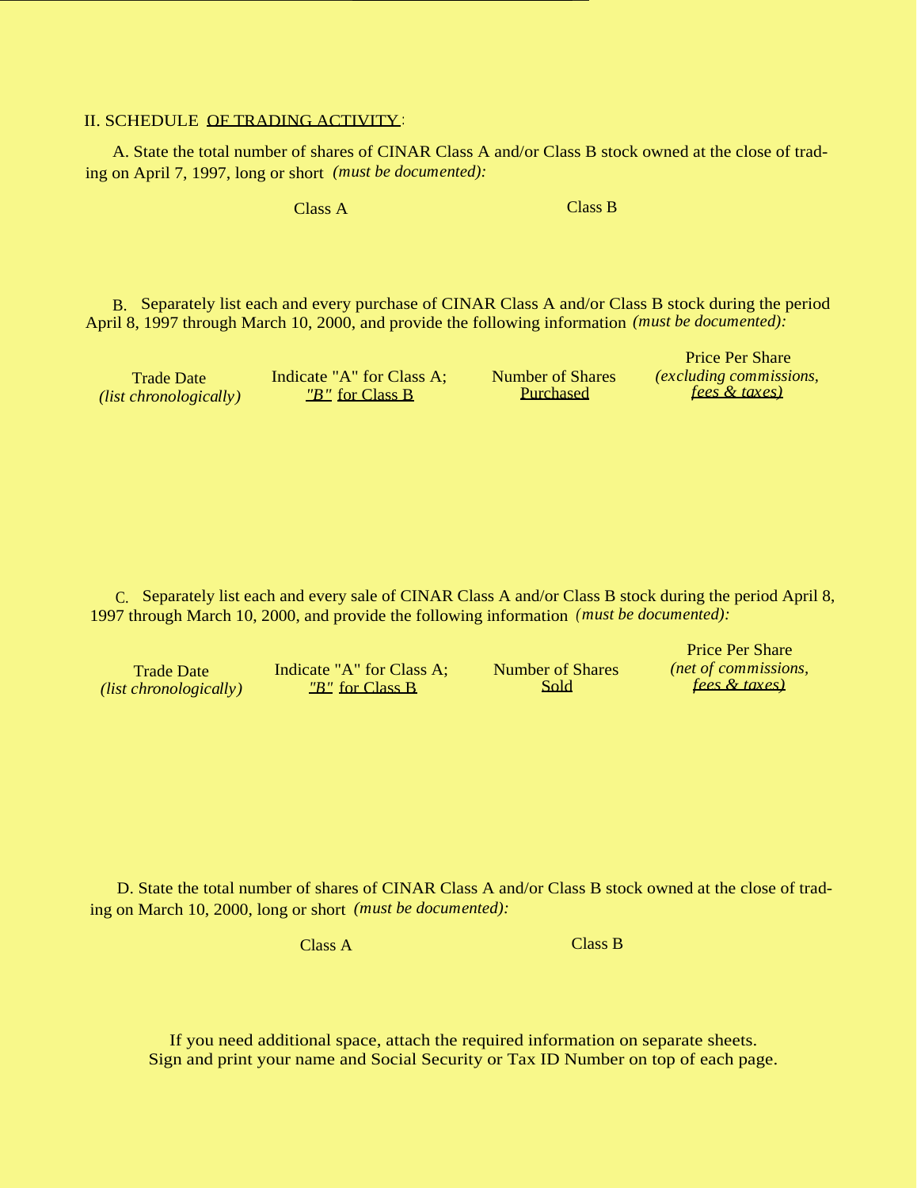### II. SCHEDULE OF TRADING ACTIVITY :

A. State the total number of shares of CINAR Class A and/or Class B stock owned at the close of trading on April 7, 1997, long or short *(must be documented):*

Class A Class B

B. Separately list each and every purchase of CINAR Class A and/or Class B stock during the period April 8, 1997 through March 10, 2000, and provide the following information *(must be documented):*

*(list chronologically)* 

Trade Date Indicate "A" for Class A; Number of Shares *(excluding commissions,*

Price Per Share

Price Per Share

C. Separately list each and every sale of CINAR Class A and/or Class B stock during the period April 8, 1997 through March 10, 2000, and provide the following information *(must be documented):*

Trade Date Indicate "A" for Class A; Number of Shares *(net of commissions, chronologically)*  $\frac{\text{w}}{\text{B} \cdot \text{B}}$  for Class B Sold *fees & taxes*) *(list chronologically)* 

D. State the total number of shares of CINAR Class A and/or Class B stock owned at the close of trading on March 10, 2000, long or short *(must be documented):*

Class A Class B

If you need additional space, attach the required information on separate sheets. Sign and print your name and Social Security or Tax ID Number on top of each page.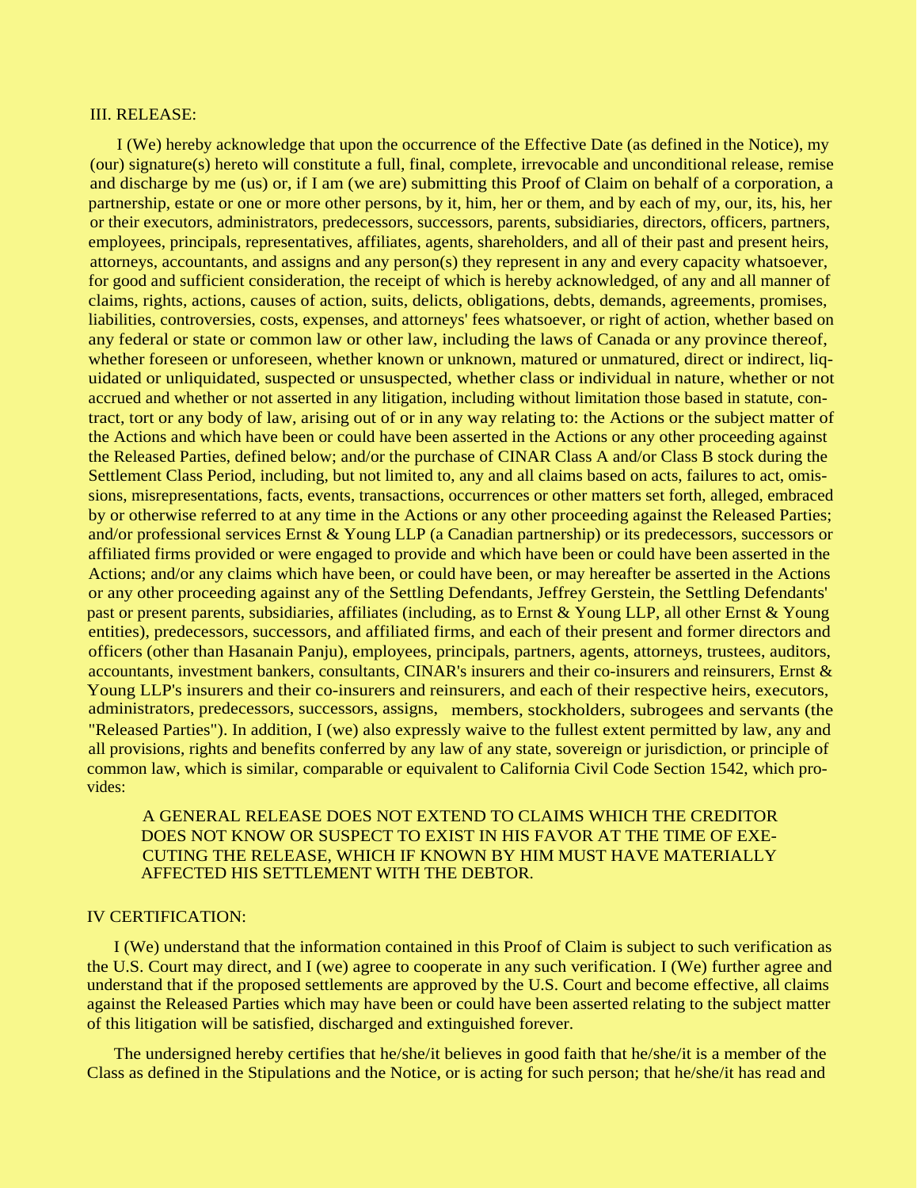#### III. RELEASE:

I (We) hereby acknowledge that upon the occurrence of the Effective Date (as defined in the Notice), my (our) signature(s) hereto will constitute a full, final, complete, irrevocable and unconditional release, remise and discharge by me (us) or, if I am (we are) submitting this Proof of Claim on behalf of a corporation, a partnership, estate or one or more other persons, by it, him, her or them, and by each of my, our, its, his, her or their executors, administrators, predecessors, successors, parents, subsidiaries, directors, officers, partners, employees, principals, representatives, affiliates, agents, shareholders, and all of their past and present heirs, attorneys, accountants, and assigns and any person(s) they represent in any and every capacity whatsoever, for good and sufficient consideration, the receipt of which is hereby acknowledged, of any and all manner of claims, rights, actions, causes of action, suits, delicts, obligations, debts, demands, agreements, promises, liabilities, controversies, costs, expenses, and attorneys' fees whatsoever, or right of action, whether based on any federal or state or common law or other law, including the laws of Canada or any province thereof, whether foreseen or unforeseen, whether known or unknown, matured or unmatured, direct or indirect, liquidated or unliquidated, suspected or unsuspected, whether class or individual in nature, whether or not accrued and whether or not asserted in any litigation, including without limitation those based in statute, contract, tort or any body of law, arising out of or in any way relating to: the Actions or the subject matter of the Actions and which have been or could have been asserted in the Actions or any other proceeding against the Released Parties, defined below; and/or the purchase of CINAR Class A and/or Class B stock during the Settlement Class Period, including, but not limited to, any and all claims based on acts, failures to act, omissions, misrepresentations, facts, events, transactions, occurrences or other matters set forth, alleged, embraced by or otherwise referred to at any time in the Actions or any other proceeding against the Released Parties; and/or professional services Ernst & Young LLP (a Canadian partnership) or its predecessors, successors or affiliated firms provided or were engaged to provide and which have been or could have been asserted in the Actions; and/or any claims which have been, or could have been, or may hereafter be asserted in the Actions or any other proceeding against any of the Settling Defendants, Jeffrey Gerstein, the Settling Defendants' past or present parents, subsidiaries, affiliates (including, as to Ernst & Young LLP, all other Ernst & Young entities), predecessors, successors, and affiliated firms, and each of their present and former directors and officers (other than Hasanain Panju), employees, principals, partners, agents, attorneys, trustees, auditors, accountants, investment bankers, consultants, CINAR's insurers and their co-insurers and reinsurers, Ernst & Young LLP's insurers and their co-insurers and reinsurers, and each of their respective heirs, executors, administrators, predecessors, successors, assigns, members, stockholders, subrogees and servants (the "Released Parties"). In addition, I (we) also expressly waive to the fullest extent permitted by law, any and all provisions, rights and benefits conferred by any law of any state, sovereign or jurisdiction, or principle of common law, which is similar, comparable or equivalent to California Civil Code Section 1542, which provides:

## A GENERAL RELEASE DOES NOT EXTEND TO CLAIMS WHICH THE CREDITOR DOES NOT KNOW OR SUSPECT TO EXIST IN HIS FAVOR AT THE TIME OF EXE-CUTING THE RELEASE, WHICH IF KNOWN BY HIM MUST HAVE MATERIALLY AFFECTED HIS SETTLEMENT WITH THE DEBTOR.

## IV CERTIFICATION:

I (We) understand that the information contained in this Proof of Claim is subject to such verification as the U.S. Court may direct, and I (we) agree to cooperate in any such verification. I (We) further agree and understand that if the proposed settlements are approved by the U.S. Court and become effective, all claims against the Released Parties which may have been or could have been asserted relating to the subject matter of this litigation will be satisfied, discharged and extinguished forever.

The undersigned hereby certifies that he/she/it believes in good faith that he/she/it is a member of the Class as defined in the Stipulations and the Notice, or is acting for such person; that he/she/it has read and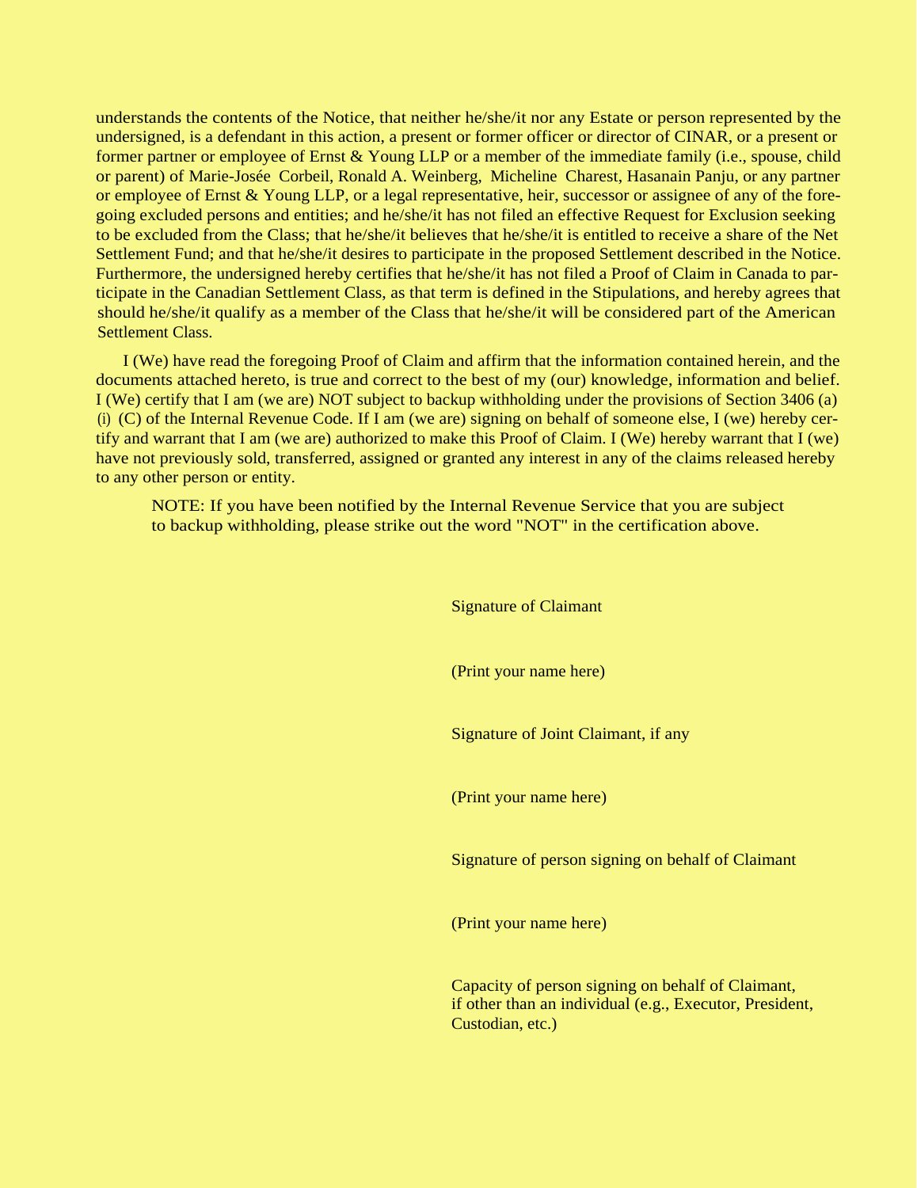understands the contents of the Notice, that neither he/she/it nor any Estate or person represented by the undersigned, is a defendant in this action, a present or former officer or director of CINAR, or a present or former partner or employee of Ernst & Young LLP or a member of the immediate family (i.e., spouse, child or parent) of Marie-Josée Corbeil, Ronald A. Weinberg, Micheline Charest, Hasanain Panju, or any partner or employee of Ernst & Young LLP, or a legal representative, heir, successor or assignee of any of the foregoing excluded persons and entities; and he/she/it has not filed an effective Request for Exclusion seeking to be excluded from the Class; that he/she/it believes that he/she/it is entitled to receive a share of the Net Settlement Fund; and that he/she/it desires to participate in the proposed Settlement described in the Notice. Furthermore, the undersigned hereby certifies that he/she/it has not filed a Proof of Claim in Canada to participate in the Canadian Settlement Class, as that term is defined in the Stipulations, and hereby agrees that should he/she/it qualify as a member of the Class that he/she/it will be considered part of the American Settlement Class.

I (We) have read the foregoing Proof of Claim and affirm that the information contained herein, and the documents attached hereto, is true and correct to the best of my (our) knowledge, information and belief. I (We) certify that I am (we are) NOT subject to backup withholding under the provisions of Section 3406 (a) (i) (C) of the Internal Revenue Code. If I am (we are) signing on behalf of someone else, I (we) hereby certify and warrant that I am (we are) authorized to make this Proof of Claim. I (We) hereby warrant that I (we) have not previously sold, transferred, assigned or granted any interest in any of the claims released hereby to any other person or entity.

NOTE: If you have been notified by the Internal Revenue Service that you are subject to backup withholding, please strike out the word "NOT" in the certification above.

> Signature of Claimant (Print your name here) Signature of Joint Claimant, if any (Print your name here) Signature of person signing on behalf of Claimant (Print your name here) Capacity of person signing on behalf of Claimant, if other than an individual (e.g., Executor, President, Custodian, etc.)